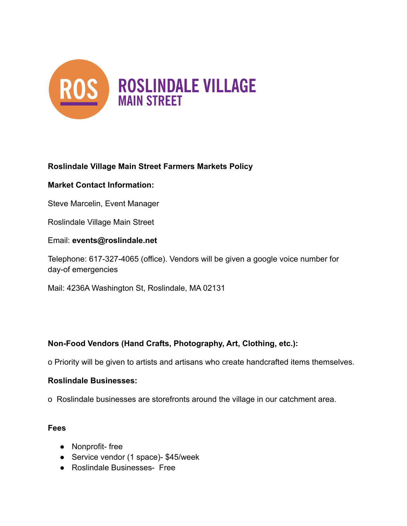

## **Roslindale Village Main Street Farmers Markets Policy**

#### **Market Contact Information:**

Steve Marcelin, Event Manager

Roslindale Village Main Street

Email: **events@roslindale.net**

Telephone: 617-327-4065 (office). Vendors will be given a google voice number for day-of emergencies

Mail: 4236A Washington St, Roslindale, MA 02131

### **Non-Food Vendors (Hand Crafts, Photography, Art, Clothing, etc.):**

o Priority will be given to artists and artisans who create handcrafted items themselves.

#### **Roslindale Businesses:**

o Roslindale businesses are storefronts around the village in our catchment area.

#### **Fees**

- Nonprofit- free
- Service vendor (1 space)- \$45/week
- Roslindale Businesses- Free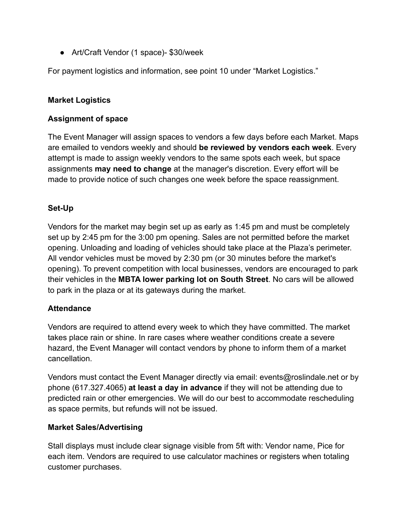● Art/Craft Vendor (1 space)- \$30/week

For payment logistics and information, see point 10 under "Market Logistics."

### **Market Logistics**

### **Assignment of space**

The Event Manager will assign spaces to vendors a few days before each Market. Maps are emailed to vendors weekly and should **be reviewed by vendors each week**. Every attempt is made to assign weekly vendors to the same spots each week, but space assignments **may need to change** at the manager's discretion. Every effort will be made to provide notice of such changes one week before the space reassignment.

### **Set-Up**

Vendors for the market may begin set up as early as 1:45 pm and must be completely set up by 2:45 pm for the 3:00 pm opening. Sales are not permitted before the market opening. Unloading and loading of vehicles should take place at the Plaza's perimeter. All vendor vehicles must be moved by 2:30 pm (or 30 minutes before the market's opening). To prevent competition with local businesses, vendors are encouraged to park their vehicles in the **MBTA lower parking lot on South Street**. No cars will be allowed to park in the plaza or at its gateways during the market.

### **Attendance**

Vendors are required to attend every week to which they have committed. The market takes place rain or shine. In rare cases where weather conditions create a severe hazard, the Event Manager will contact vendors by phone to inform them of a market cancellation.

Vendors must contact the Event Manager directly via email: events@roslindale.net or by phone (617.327.4065) **at least a day in advance** if they will not be attending due to predicted rain or other emergencies. We will do our best to accommodate rescheduling as space permits, but refunds will not be issued.

### **Market Sales/Advertising**

Stall displays must include clear signage visible from 5ft with: Vendor name, Pice for each item. Vendors are required to use calculator machines or registers when totaling customer purchases.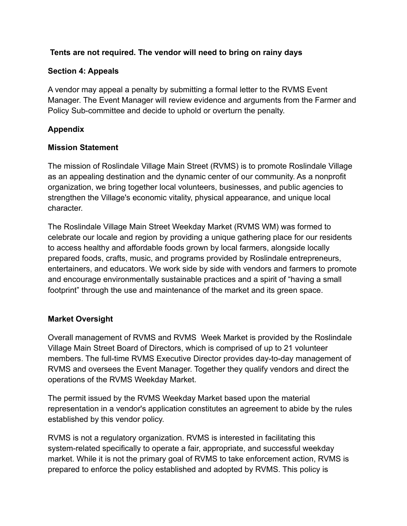## **Tents are not required. The vendor will need to bring on rainy days**

### **Section 4: Appeals**

A vendor may appeal a penalty by submitting a formal letter to the RVMS Event Manager. The Event Manager will review evidence and arguments from the Farmer and Policy Sub-committee and decide to uphold or overturn the penalty.

## **Appendix**

### **Mission Statement**

The mission of Roslindale Village Main Street (RVMS) is to promote Roslindale Village as an appealing destination and the dynamic center of our community. As a nonprofit organization, we bring together local volunteers, businesses, and public agencies to strengthen the Village's economic vitality, physical appearance, and unique local character.

The Roslindale Village Main Street Weekday Market (RVMS WM) was formed to celebrate our locale and region by providing a unique gathering place for our residents to access healthy and affordable foods grown by local farmers, alongside locally prepared foods, crafts, music, and programs provided by Roslindale entrepreneurs, entertainers, and educators. We work side by side with vendors and farmers to promote and encourage environmentally sustainable practices and a spirit of "having a small footprint" through the use and maintenance of the market and its green space.

# **Market Oversight**

Overall management of RVMS and RVMS Week Market is provided by the Roslindale Village Main Street Board of Directors, which is comprised of up to 21 volunteer members. The full-time RVMS Executive Director provides day-to-day management of RVMS and oversees the Event Manager. Together they qualify vendors and direct the operations of the RVMS Weekday Market.

The permit issued by the RVMS Weekday Market based upon the material representation in a vendor's application constitutes an agreement to abide by the rules established by this vendor policy.

RVMS is not a regulatory organization. RVMS is interested in facilitating this system-related specifically to operate a fair, appropriate, and successful weekday market. While it is not the primary goal of RVMS to take enforcement action, RVMS is prepared to enforce the policy established and adopted by RVMS. This policy is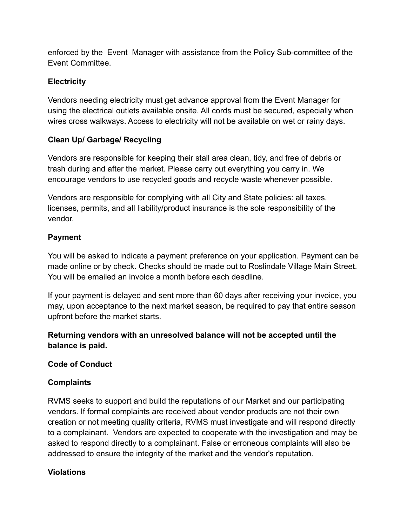enforced by the Event Manager with assistance from the Policy Sub-committee of the Event Committee.

# **Electricity**

Vendors needing electricity must get advance approval from the Event Manager for using the electrical outlets available onsite. All cords must be secured, especially when wires cross walkways. Access to electricity will not be available on wet or rainy days.

# **Clean Up/ Garbage/ Recycling**

Vendors are responsible for keeping their stall area clean, tidy, and free of debris or trash during and after the market. Please carry out everything you carry in. We encourage vendors to use recycled goods and recycle waste whenever possible.

Vendors are responsible for complying with all City and State policies: all taxes, licenses, permits, and all liability/product insurance is the sole responsibility of the vendor.

# **Payment**

You will be asked to indicate a payment preference on your application. Payment can be made online or by check. Checks should be made out to Roslindale Village Main Street. You will be emailed an invoice a month before each deadline.

If your payment is delayed and sent more than 60 days after receiving your invoice, you may, upon acceptance to the next market season, be required to pay that entire season upfront before the market starts.

## **Returning vendors with an unresolved balance will not be accepted until the balance is paid.**

**Code of Conduct**

### **Complaints**

RVMS seeks to support and build the reputations of our Market and our participating vendors. If formal complaints are received about vendor products are not their own creation or not meeting quality criteria, RVMS must investigate and will respond directly to a complainant. Vendors are expected to cooperate with the investigation and may be asked to respond directly to a complainant. False or erroneous complaints will also be addressed to ensure the integrity of the market and the vendor's reputation.

# **Violations**